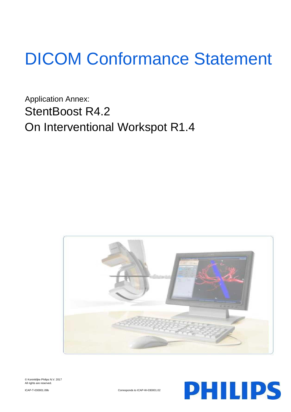# DICOM Conformance Statement

Application Annex: StentBoost R4.2 On Interventional Workspot R1.4







ICAP-T-030001.09b Corresponds to ICAP-W-030001.02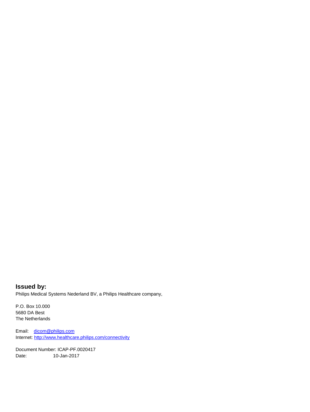**Issued by:** Philips Medical Systems Nederland BV, a Philips Healthcare company,

P.O. Box 10.000 5680 DA Best The Netherlands

Email: [dicom@philips.com](mailto:dicom@philips.com) Internet[: http://www.healthcare.philips.com/connectivity](http://www.healthcare.philips.com/connectivity)

Document Number: ICAP-PF.0020417 Date: 10-Jan-2017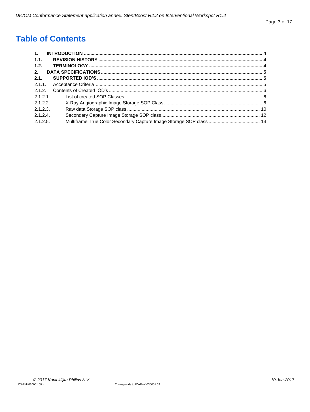# **Table of Contents**

| 1.       |  |
|----------|--|
| 1.1.     |  |
| 1.2.     |  |
| 2.       |  |
| 2.1.     |  |
| 2.1.1.   |  |
| 2.1.2.   |  |
| 2.1.2.1  |  |
| 2.1.2.2  |  |
| 2.1.2.3. |  |
| 2.1.2.4  |  |
| 2.1.2.5. |  |
|          |  |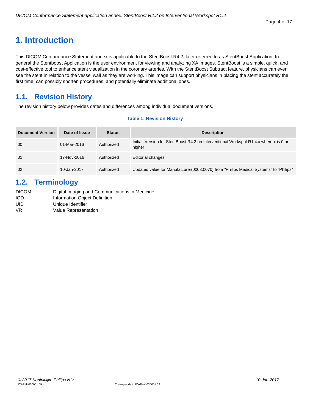# <span id="page-3-0"></span>**1. Introduction**

This DICOM Conformance Statement annex is applicable to the StentBoost R4.2, later referred to as StentBoost Application. In general the Stentboost Application is the user environment for viewing and analyzing XA images. StentBoost is a simple, quick, and cost-effective tool to enhance stent visualization in the coronary arteries. With the StentBoost Subtract feature, physicians can even see the stent in relation to the vessel wall as they are working. This image can support physicians in placing the stent accurately the first time, can possibly shorten procedures, and potentially eliminate additional ones.

# <span id="page-3-1"></span>**1.1. Revision History**

The revision history below provides dates and differences among individual document versions.

# **Table 1: Revision History**

| <b>Document Version</b> | Date of Issue | <b>Status</b> | <b>Description</b>                                                                              |
|-------------------------|---------------|---------------|-------------------------------------------------------------------------------------------------|
| 00                      | 01-Mar-2016   | Authorized    | Initial Version for StentBoost R4.2 on Interventional Workspot R1.4.x where x is 0 or<br>higher |
| 01                      | 17-Nov-2016   | Authorized    | <b>Editorial changes</b>                                                                        |
| 02                      | 10-Jan-2017   | Authorized    | Updated value for Manufacturer (0008,0070) from "Philips Medical Systems" to "Philips"          |

# <span id="page-3-2"></span>**1.2. Terminology**

| <b>DICOM</b> | Digital Imaging and Communications in Medicine |
|--------------|------------------------------------------------|
| iod          | Information Object Definition                  |
| UID          | Unique Identifier                              |
| VR           | Value Representation                           |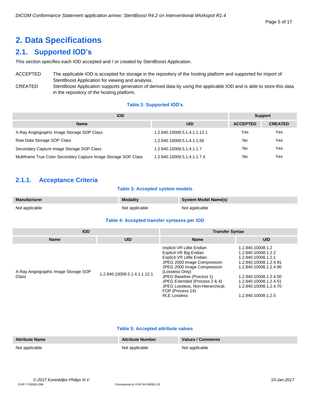#### Page 5 of 17

# <span id="page-4-0"></span>**2. Data Specifications**

# <span id="page-4-1"></span>**2.1. Supported IOD's**

This section specifies each IOD accepted and / or created by StentBoost Application.

# ACCEPTED The applicable IOD is accepted for storage in the repository of the hosting platform and supported for import of StentBoost Application for viewing and analysis.

CREATED StentBoost Application supports generation of derived data by using the applicable IOD and is able to store this data in the repository of the hosting platform.

# **Table 2: Supported IOD's**

| <b>IOD</b>                                                      |                              | <b>Support</b>  |                |
|-----------------------------------------------------------------|------------------------------|-----------------|----------------|
| <b>Name</b>                                                     | <b>UID</b>                   | <b>ACCEPTED</b> | <b>CREATED</b> |
| X-Ray Angiographic Image Storage SOP Class                      | 1.2.840.10008.5.1.4.1.1.12.1 | Yes             | Yes            |
| Raw Data Storage SOP Class                                      | 1.2.840.10008.5.1.4.1.1.66   | No              | Yes            |
| Secondary Capture Image Storage SOP Class                       | 1.2.840.10008.5.1.4.1.1.7    | No              | Yes            |
| Multiframe True Color Secondary Capture Image Storage SOP Class | 1.2.840.10008.5.1.4.1.1.7.4  | No              | Yes            |

# <span id="page-4-2"></span>**2.1.1. Acceptance Criteria**

# **Table 3: Accepted system models**

| <b>Manufacturer</b> | <b>Modality</b> | <b>System Model Name(s)</b> |
|---------------------|-----------------|-----------------------------|
| Not applicable      | Not applicable  | Not applicable              |

#### **Table 4: Accepted transfer syntaxes per IOD**

| <b>IOD</b>                                    |                              | <b>Transfer Syntax</b>                                                                                                                                                                                                                                                                                         |                                                                                                                                                                                                                          |  |  |
|-----------------------------------------------|------------------------------|----------------------------------------------------------------------------------------------------------------------------------------------------------------------------------------------------------------------------------------------------------------------------------------------------------------|--------------------------------------------------------------------------------------------------------------------------------------------------------------------------------------------------------------------------|--|--|
| <b>Name</b>                                   | <b>UID</b>                   | <b>Name</b>                                                                                                                                                                                                                                                                                                    | <b>UID</b>                                                                                                                                                                                                               |  |  |
| X-Ray Angiographic Image Storage SOP<br>Class | 1.2.840.10008.5.1.4.1.1.12.1 | Implicit VR Little Endian<br>Explicit VR Big Endian<br>Explicit VR Little Endian<br>JPEG 2000 Image Compression<br>JPEG 2000 Image Compression<br>(Lossless Only)<br>JPEG Baseline (Process 1)<br>JPEG Extended (Process 2 & 4)<br>JPEG Lossless, Non-Hierarchical,<br>FOP (Process 14)<br><b>RLE Lossless</b> | 1.2.840.10008.1.2<br>1.2.840.10008.1.2.2<br>1.2.840.10008.1.2.1<br>1.2.840.10008.1.2.4.91<br>1.2.840.10008.1.2.4.90<br>1.2.840.10008.1.2.4.50<br>1.2.840.10008.1.2.4.51<br>1.2.840.10008.1.2.4.70<br>1.2.840.10008.1.2.5 |  |  |

# **Table 5: Accepted attribute values**

| <b>Attribute Name</b> | <b>Attribute Number</b> | Values / Comments |
|-----------------------|-------------------------|-------------------|
| Not applicable        | Not applicable          | Not applicable    |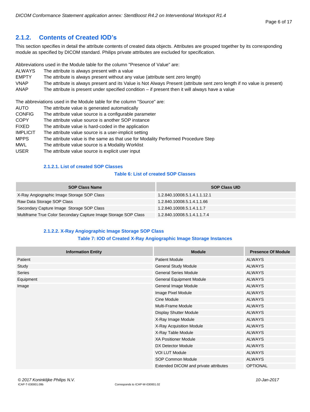# <span id="page-5-0"></span>**2.1.2. Contents of Created IOD's**

This section specifies in detail the attribute contents of created data objects. Attributes are grouped together by its corresponding module as specified by DICOM standard. Philips private attributes are excluded for specification.

Abbreviations used in the Module table for the column "Presence of Value" are:

- ALWAYS The attribute is always present with a value
- EMPTY The attribute is always present without any value (attribute sent zero length)
- VNAP The attribute is always present and its Value is Not Always Present (attribute sent zero length if no value is present)
- ANAP The attribute is present under specified condition if present then it will always have a value

The abbreviations used in the Module table for the column "Source" are:

AUTO The attribute value is generated automatically CONFIG The attribute value source is a configurable parameter COPY The attribute value source is another SOP instance FIXED The attribute value is hard-coded in the application IMPLICIT The attribute value source is a user-implicit setting MPPS The attribute value is the same as that use for Modality Performed Procedure Step MWL The attribute value source is a Modality Worklist USER The attribute value source is explicit user input

# **2.1.2.1. List of created SOP Classes**

# **Table 6: List of created SOP Classes**

<span id="page-5-1"></span>

| <b>SOP Class Name</b>                                           | <b>SOP Class UID</b>         |
|-----------------------------------------------------------------|------------------------------|
| X-Ray Angiographic Image Storage SOP Class                      | 1.2.840.10008.5.1.4.1.1.12.1 |
| Raw Data Storage SOP Class                                      | 1.2.840.10008.5.1.4.1.1.66   |
| Secondary Capture Image Storage SOP Class                       | 1.2.840.10008.5.1.4.1.1.7    |
| Multiframe True Color Secondary Capture Image Storage SOP Class | 1.2.840.10008.5.1.4.1.1.7.4  |

# **2.1.2.2. X-Ray Angiographic Image Storage SOP Class**

#### **Table 7: IOD of Created X-Ray Angiographic Image Storage Instances**

<span id="page-5-2"></span>

| <b>Information Entity</b> | <b>Module</b>                         | <b>Presence Of Module</b> |
|---------------------------|---------------------------------------|---------------------------|
| Patient                   | <b>Patient Module</b>                 | <b>ALWAYS</b>             |
| Study                     | <b>General Study Module</b>           | <b>ALWAYS</b>             |
| Series                    | <b>General Series Module</b>          | <b>ALWAYS</b>             |
| Equipment                 | <b>General Equipment Module</b>       | <b>ALWAYS</b>             |
| Image                     | General Image Module                  | <b>ALWAYS</b>             |
|                           | Image Pixel Module                    | <b>ALWAYS</b>             |
|                           | Cine Module                           | <b>ALWAYS</b>             |
|                           | Multi-Frame Module                    | <b>ALWAYS</b>             |
|                           | Display Shutter Module                | <b>ALWAYS</b>             |
|                           | X-Ray Image Module                    | <b>ALWAYS</b>             |
|                           | X-Ray Acquisition Module              | <b>ALWAYS</b>             |
|                           | X-Ray Table Module                    | <b>ALWAYS</b>             |
|                           | <b>XA Positioner Module</b>           | <b>ALWAYS</b>             |
|                           | DX Detector Module                    | <b>ALWAYS</b>             |
|                           | <b>VOI LUT Module</b>                 | <b>ALWAYS</b>             |
|                           | <b>SOP Common Module</b>              | <b>ALWAYS</b>             |
|                           | Extended DICOM and private attributes | <b>OPTIONAL</b>           |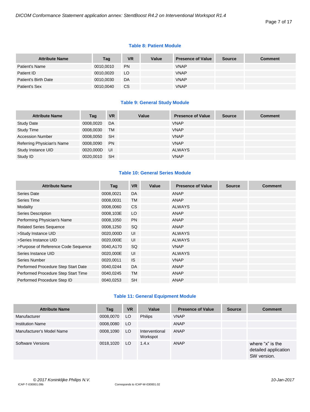# **Table 8: Patient Module**

| <b>Attribute Name</b> | Tag       | <b>VR</b> | Value | <b>Presence of Value</b> | <b>Source</b> | <b>Comment</b> |
|-----------------------|-----------|-----------|-------|--------------------------|---------------|----------------|
| Patient's Name        | 0010,0010 | <b>PN</b> |       | <b>VNAP</b>              |               |                |
| Patient ID            | 0010,0020 | LO.       |       | <b>VNAP</b>              |               |                |
| Patient's Birth Date  | 0010,0030 | DA        |       | <b>VNAP</b>              |               |                |
| Patient's Sex         | 0010,0040 | <b>CS</b> |       | <b>VNAP</b>              |               |                |

# **Table 9: General Study Module**

| <b>Attribute Name</b>      | Tag       | <b>VR</b> | Value | <b>Presence of Value</b> | <b>Source</b> | <b>Comment</b> |
|----------------------------|-----------|-----------|-------|--------------------------|---------------|----------------|
| <b>Study Date</b>          | 0008,0020 | DA        |       | <b>VNAP</b>              |               |                |
| <b>Study Time</b>          | 0008,0030 | <b>TM</b> |       | <b>VNAP</b>              |               |                |
| <b>Accession Number</b>    | 0008,0050 | <b>SH</b> |       | <b>VNAP</b>              |               |                |
| Referring Physician's Name | 0008,0090 | <b>PN</b> |       | <b>VNAP</b>              |               |                |
| Study Instance UID         | 0020,000D | - UI      |       | ALWAYS                   |               |                |
| Study ID                   | 0020,0010 | <b>SH</b> |       | <b>VNAP</b>              |               |                |

# **Table 10: General Series Module**

| <b>Attribute Name</b>               | Tag       | <b>VR</b> | Value | <b>Presence of Value</b> | <b>Source</b> | <b>Comment</b> |
|-------------------------------------|-----------|-----------|-------|--------------------------|---------------|----------------|
| <b>Series Date</b>                  | 0008,0021 | DA        |       | ANAP                     |               |                |
| Series Time                         | 0008,0031 | <b>TM</b> |       | <b>ANAP</b>              |               |                |
| Modality                            | 0008,0060 | <b>CS</b> |       | <b>ALWAYS</b>            |               |                |
| Series Description                  | 0008,103E | LO        |       | ANAP                     |               |                |
| Performing Physician's Name         | 0008,1050 | <b>PN</b> |       | <b>ANAP</b>              |               |                |
| <b>Related Series Sequence</b>      | 0008,1250 | SQ.       |       | ANAP                     |               |                |
| >Study Instance UID                 | 0020,000D | UI        |       | <b>ALWAYS</b>            |               |                |
| >Series Instance UID                | 0020,000E | UI        |       | <b>ALWAYS</b>            |               |                |
| >Purpose of Reference Code Sequence | 0040,A170 | SQ        |       | <b>VNAP</b>              |               |                |
| Series Instance UID                 | 0020,000E | UI        |       | <b>ALWAYS</b>            |               |                |
| Series Number                       | 0020,0011 | <b>IS</b> |       | <b>VNAP</b>              |               |                |
| Performed Procedure Step Start Date | 0040,0244 | <b>DA</b> |       | <b>ANAP</b>              |               |                |
| Performed Procedure Step Start Time | 0040,0245 | <b>TM</b> |       | ANAP                     |               |                |
| Performed Procedure Step ID         | 0040,0253 | <b>SH</b> |       | ANAP                     |               |                |

# **Table 11: General Equipment Module**

| <b>Attribute Name</b>     | Tag       | <b>VR</b> | Value                      | <b>Presence of Value</b> | <b>Source</b> | <b>Comment</b>                                          |
|---------------------------|-----------|-----------|----------------------------|--------------------------|---------------|---------------------------------------------------------|
| Manufacturer              | 0008,0070 | LO        | <b>Philips</b>             | <b>VNAP</b>              |               |                                                         |
| <b>Institution Name</b>   | 0008,0080 | LO        |                            | ANAP                     |               |                                                         |
| Manufacturer's Model Name | 0008,1090 | LO.       | Interventional<br>Workspot | <b>ANAP</b>              |               |                                                         |
| Software Versions         | 0018,1020 | LO.       | 1.4.x                      | <b>ANAP</b>              |               | where "x" is the<br>detailed application<br>SW version. |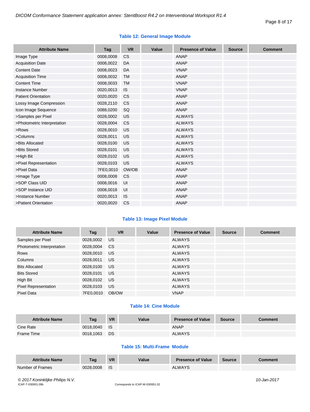# **Table 12: General Image Module**

| <b>Attribute Name</b>       | Tag       | <b>VR</b> | Value | <b>Presence of Value</b> | <b>Source</b> | <b>Comment</b> |
|-----------------------------|-----------|-----------|-------|--------------------------|---------------|----------------|
| Image Type                  | 0008,0008 | <b>CS</b> |       | ANAP                     |               |                |
| <b>Acquisition Date</b>     | 0008,0022 | DA        |       | <b>ANAP</b>              |               |                |
| <b>Content Date</b>         | 0008,0023 | DA        |       | <b>VNAP</b>              |               |                |
| <b>Acquisition Time</b>     | 0008,0032 | TM        |       | <b>ANAP</b>              |               |                |
| <b>Content Time</b>         | 0008,0033 | <b>TM</b> |       | <b>VNAP</b>              |               |                |
| <b>Instance Number</b>      | 0020,0013 | <b>IS</b> |       | <b>VNAP</b>              |               |                |
| <b>Patient Orientation</b>  | 0020,0020 | CS        |       | <b>ANAP</b>              |               |                |
| Lossy Image Compression     | 0028,2110 | <b>CS</b> |       | <b>ANAP</b>              |               |                |
| Icon Image Sequence         | 0088,0200 | SQ        |       | <b>ANAP</b>              |               |                |
| >Samples per Pixel          | 0028,0002 | US        |       | <b>ALWAYS</b>            |               |                |
| >Photometric Interpretation | 0028,0004 | <b>CS</b> |       | <b>ALWAYS</b>            |               |                |
| >Rows                       | 0028,0010 | <b>US</b> |       | <b>ALWAYS</b>            |               |                |
| >Columns                    | 0028,0011 | US        |       | <b>ALWAYS</b>            |               |                |
| >Bits Allocated             | 0028,0100 | US        |       | <b>ALWAYS</b>            |               |                |
| >Bits Stored                | 0028,0101 | US        |       | <b>ALWAYS</b>            |               |                |
| >High Bit                   | 0028,0102 | US        |       | <b>ALWAYS</b>            |               |                |
| >Pixel Representation       | 0028,0103 | <b>US</b> |       | <b>ALWAYS</b>            |               |                |
| >Pixel Data                 | 7FE0,0010 | OW/OB     |       | <b>ANAP</b>              |               |                |
| >Image Type                 | 0008,0008 | <b>CS</b> |       | <b>ANAP</b>              |               |                |
| >SOP Class UID              | 0008,0016 | UI        |       | <b>ANAP</b>              |               |                |
| >SOP Instance UID           | 0008,0018 | UI        |       | <b>ANAP</b>              |               |                |
| >Instance Number            | 0020,0013 | <b>IS</b> |       | <b>ANAP</b>              |               |                |
| >Patient Orientation        | 0020,0020 | CS        |       | <b>ANAP</b>              |               |                |

# **Table 13: Image Pixel Module**

| <b>Attribute Name</b>       | Tag       | <b>VR</b>     | Value | <b>Presence of Value</b> | <b>Source</b> | <b>Comment</b> |
|-----------------------------|-----------|---------------|-------|--------------------------|---------------|----------------|
| Samples per Pixel           | 0028,0002 | <b>US</b>     |       | <b>ALWAYS</b>            |               |                |
| Photometric Interpretation  | 0028,0004 | <sub>CS</sub> |       | <b>ALWAYS</b>            |               |                |
| <b>Rows</b>                 | 0028,0010 | US            |       | <b>ALWAYS</b>            |               |                |
| Columns                     | 0028,0011 | <b>US</b>     |       | <b>ALWAYS</b>            |               |                |
| <b>Bits Allocated</b>       | 0028,0100 | <b>US</b>     |       | <b>ALWAYS</b>            |               |                |
| <b>Bits Stored</b>          | 0028,0101 | <b>US</b>     |       | <b>ALWAYS</b>            |               |                |
| High Bit                    | 0028,0102 | <b>US</b>     |       | <b>ALWAYS</b>            |               |                |
| <b>Pixel Representation</b> | 0028,0103 | US            |       | <b>ALWAYS</b>            |               |                |
| Pixel Data                  | 7FE0.0010 | OB/OW         |       | <b>VNAP</b>              |               |                |

# **Table 14: Cine Module**

| <b>Attribute Name</b> | Taq       | <b>VR</b>  | Value | <b>Presence of Value</b> | <b>Source</b> | Comment |
|-----------------------|-----------|------------|-------|--------------------------|---------------|---------|
| Cine Rate             | 0018.0040 | <b>I</b> S |       | <b>ANAP</b>              |               |         |
| Frame Time            | 0018,1063 | <b>DS</b>  |       | <b>ALWAYS</b>            |               |         |

# **Table 15: Multi-Frame Module**

| <b>Attribute Name</b> | Taq       | <b>VR</b> | Value | <b>Presence of Value</b> | Source | <b>Comment</b> |
|-----------------------|-----------|-----------|-------|--------------------------|--------|----------------|
| Number of Frames      | 0028,0008 | - IS      |       | <b>ALWAYS</b>            |        |                |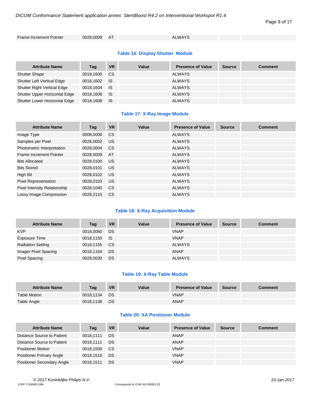#### Page 9 of 17

Frame Increment Pointer 0028,0009 AT ALWAYS

# **Table 16: Display Shutter Module**

| <b>Attribute Name</b>              | Tag       | <b>VR</b> | Value | <b>Presence of Value</b> | <b>Source</b> | <b>Comment</b> |
|------------------------------------|-----------|-----------|-------|--------------------------|---------------|----------------|
| <b>Shutter Shape</b>               | 0018.1600 | CS.       |       | <b>ALWAYS</b>            |               |                |
| <b>Shutter Left Vertical Edge</b>  | 0018,1602 | ⊟ IS      |       | <b>ALWAYS</b>            |               |                |
| <b>Shutter Right Vertical Edge</b> | 0018,1604 | ⊟ IS      |       | <b>ALWAYS</b>            |               |                |
| Shutter Upper Horizontal Edge      | 0018,1606 | <b>IS</b> |       | <b>ALWAYS</b>            |               |                |
| Shutter Lower Horizontal Edge      | 0018,1608 | - IS      |       | <b>ALWAYS</b>            |               |                |

# **Table 17: X-Ray Image Module**

| <b>Attribute Name</b>        | Tag       | <b>VR</b>     | Value | <b>Presence of Value</b> | <b>Source</b> | <b>Comment</b> |
|------------------------------|-----------|---------------|-------|--------------------------|---------------|----------------|
| Image Type                   | 0008,0008 | <b>CS</b>     |       | <b>ALWAYS</b>            |               |                |
| Samples per Pixel            | 0028,0002 | <b>US</b>     |       | <b>ALWAYS</b>            |               |                |
| Photometric Interpretation   | 0028.0004 | <sub>CS</sub> |       | <b>ALWAYS</b>            |               |                |
| Frame Increment Pointer      | 0028,0009 | AT            |       | <b>ALWAYS</b>            |               |                |
| <b>Bits Allocated</b>        | 0028.0100 | <b>US</b>     |       | <b>ALWAYS</b>            |               |                |
| <b>Bits Stored</b>           | 0028,0101 | <b>US</b>     |       | <b>ALWAYS</b>            |               |                |
| High Bit                     | 0028,0102 | <b>US</b>     |       | <b>ALWAYS</b>            |               |                |
| <b>Pixel Representation</b>  | 0028,0103 | <b>US</b>     |       | <b>ALWAYS</b>            |               |                |
| Pixel Intensity Relationship | 0028,1040 | <b>CS</b>     |       | <b>ALWAYS</b>            |               |                |
| Lossy Image Compression      | 0028.2110 | <sub>CS</sub> |       | <b>ALWAYS</b>            |               |                |

# **Table 18: X-Ray Acquisition Module**

| <b>Attribute Name</b>    | Tag          | <b>VR</b> | Value | <b>Presence of Value</b> | <b>Source</b> | <b>Comment</b> |
|--------------------------|--------------|-----------|-------|--------------------------|---------------|----------------|
| <b>KVP</b>               | 0018,0060    | DS        |       | <b>VNAP</b>              |               |                |
| Exposure Time            | 0018,1150 IS |           |       | <b>VNAP</b>              |               |                |
| <b>Radiation Setting</b> | 0018,1155    | CS.       |       | <b>ALWAYS</b>            |               |                |
| Imager Pixel Spacing     | 0018,1164    | <b>DS</b> |       | <b>ANAP</b>              |               |                |
| <b>Pixel Spacing</b>     | 0028,0030    | DS        |       | <b>ALWAYS</b>            |               |                |

# **Table 19: X-Ray Table Module**

| <b>Attribute Name</b> | Taq       | <b>VR</b> | Value | <b>Presence of Value</b> | <b>Source</b> | <b>Comment</b> |
|-----------------------|-----------|-----------|-------|--------------------------|---------------|----------------|
| Table Motion          | 0018.1134 | <b>DS</b> |       | <b>VNAP</b>              |               |                |
| Table Angle           | 0018.1138 | DS        |       | <b>ANAP</b>              |               |                |

# **Table 20: XA Positioner Module**

| <b>Attribute Name</b>             | Tag       | <b>VR</b> | Value | <b>Presence of Value</b> | <b>Source</b> | <b>Comment</b> |
|-----------------------------------|-----------|-----------|-------|--------------------------|---------------|----------------|
| Distance Source to Patient        | 0018.1111 | DS        |       | ANAP                     |               |                |
| Distance Source to Patient        | 0018.1111 | DS        |       | ANAP                     |               |                |
| <b>Positioner Motion</b>          | 0018.1500 | CS.       |       | <b>VNAP</b>              |               |                |
| <b>Positioner Primary Angle</b>   | 0018.1510 | DS        |       | <b>VNAP</b>              |               |                |
| <b>Positioner Secondary Angle</b> | 0018.1511 | DS        |       | <b>VNAP</b>              |               |                |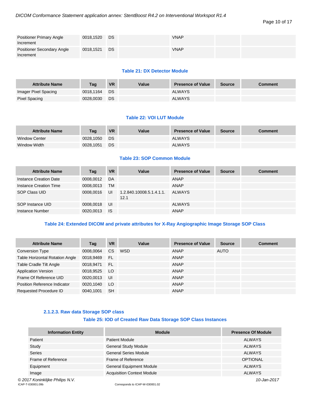| <b>Positioner Primary Angle</b><br>Increment | 0018,1520 | DS | <b>VNAP</b> |  |
|----------------------------------------------|-----------|----|-------------|--|
| Positioner Secondary Angle<br>Increment      | 0018,1521 | DS | <b>VNAP</b> |  |

# **Table 21: DX Detector Module**

| <b>Attribute Name</b> | Taq       | <b>VR</b> | Value | <b>Presence of Value</b> | <b>Source</b> | <b>Comment</b> |
|-----------------------|-----------|-----------|-------|--------------------------|---------------|----------------|
| Imager Pixel Spacing  | 0018.1164 | DS.       |       | <b>ALWAYS</b>            |               |                |
| Pixel Spacing         | 0028.0030 | DS        |       | <b>ALWAYS</b>            |               |                |

# **Table 22: VOI LUT Module**

| <b>Attribute Name</b> | Taq       | <b>VR</b> | Value | <b>Presence of Value</b> | <b>Source</b> | <b>Comment</b> |
|-----------------------|-----------|-----------|-------|--------------------------|---------------|----------------|
| <b>Window Center</b>  | 0028.1050 | DS.       |       | <b>ALWAYS</b>            |               |                |
| Window Width          | 0028.1051 | DS        |       | <b>ALWAYS</b>            |               |                |

# **Table 23: SOP Common Module**

| <b>Attribute Name</b>  | Tag       | <b>VR</b> | Value                            | <b>Presence of Value</b> | <b>Source</b> | <b>Comment</b> |
|------------------------|-----------|-----------|----------------------------------|--------------------------|---------------|----------------|
| Instance Creation Date | 0008,0012 | DA        |                                  | ANAP                     |               |                |
| Instance Creation Time | 0008,0013 | <b>TM</b> |                                  | <b>ANAP</b>              |               |                |
| SOP Class UID          | 0008,0016 | UI        | 1.2.840.10008.5.1.4.1.1.<br>12.1 | <b>ALWAYS</b>            |               |                |
| SOP Instance UID       | 0008,0018 | UI        |                                  | <b>ALWAYS</b>            |               |                |
| Instance Number        | 0020,0013 | <b>IS</b> |                                  | <b>ANAP</b>              |               |                |

# **Table 24: Extended DICOM and private attributes for X-Ray Angiographic Image Storage SOP Class**

| <b>Attribute Name</b>                  | Tag       | <b>VR</b> | Value | <b>Presence of Value</b> | <b>Source</b> | <b>Comment</b> |
|----------------------------------------|-----------|-----------|-------|--------------------------|---------------|----------------|
| <b>Conversion Type</b>                 | 0008,0064 | CS.       | WSD   | <b>ANAP</b>              | <b>AUTO</b>   |                |
| <b>Table Horizontal Rotation Angle</b> | 0018,9469 | - FL      |       | <b>ANAP</b>              |               |                |
| Table Cradle Tilt Angle                | 0018,9471 | - FL      |       | <b>ANAP</b>              |               |                |
| <b>Application Version</b>             | 0018,9525 | <b>LO</b> |       | ANAP                     |               |                |
| Frame Of Reference UID                 | 0020,0013 | UI        |       | <b>ANAP</b>              |               |                |
| Position Reference Indicator           | 0020.1040 | LO.       |       | <b>ANAP</b>              |               |                |
| Requested Procedure ID                 | 0040.1001 | <b>SH</b> |       | ANAP                     |               |                |

# **2.1.2.3. Raw data Storage SOP class**

# **Table 25: IOD of Created Raw Data Storage SOP Class Instances**

<span id="page-9-0"></span>

| <b>Information Entity</b>       | <b>Module</b>                     | <b>Presence Of Module</b> |
|---------------------------------|-----------------------------------|---------------------------|
| Patient                         | <b>Patient Module</b>             | <b>ALWAYS</b>             |
| Study                           | <b>General Study Module</b>       | ALWAYS                    |
| <b>Series</b>                   | <b>General Series Module</b>      | ALWAYS                    |
| Frame of Reference              | Frame of Reference                | <b>OPTIONAL</b>           |
| Equipment                       | <b>General Equipment Module</b>   | ALWAYS                    |
| Image                           | <b>Acquisition Context Module</b> | <b>ALWAYS</b>             |
| © 2017 Koninklijke Philips N.V. |                                   | 10-Jan-2017               |

ICAP-T-030001.09b Corresponds to ICAP-W-030001.02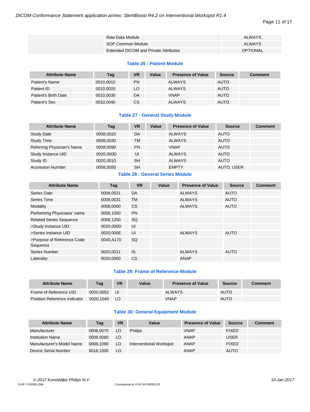#### Page 11 of 17

| Raw Data Module   |                                              | <b>ALWAYS</b> |
|-------------------|----------------------------------------------|---------------|
| SOP Common Module |                                              | <b>ALWAYS</b> |
|                   | <b>Extended DICOM and Private Attributes</b> | OPTIONAL      |

# **Table 26 : Patient Module**

| <b>Attribute Name</b> | Tag       | VR | Value | <b>Presence of Value</b> | Source      | <b>Comment</b> |
|-----------------------|-----------|----|-------|--------------------------|-------------|----------------|
| Patient's Name        | 0010.0010 | PN |       | <b>ALWAYS</b>            | <b>AUTO</b> |                |
| Patient ID            | 0010.0020 | LO |       | <b>ALWAYS</b>            | <b>AUTO</b> |                |
| Patient's Birth Date  | 0010.0030 | DA |       | <b>VNAP</b>              | <b>AUTO</b> |                |
| Patient's Sex         | 0010.0040 | СS |       | <b>ALWAYS</b>            | <b>AUTO</b> |                |

# **Table 27 : General Study Module**

| <b>Attribute Name</b>      | Tag       | <b>VR</b> | Value | <b>Presence of Value</b> | <b>Source</b> | <b>Comment</b> |
|----------------------------|-----------|-----------|-------|--------------------------|---------------|----------------|
| <b>Study Date</b>          | 0008.0020 | DA        |       | <b>ALWAYS</b>            | <b>AUTO</b>   |                |
| <b>Study Time</b>          | 0008.0030 | <b>TM</b> |       | <b>ALWAYS</b>            | <b>AUTO</b>   |                |
| Referring Physician's Name | 0008.0090 | <b>PN</b> |       | <b>VNAP</b>              | <b>AUTO</b>   |                |
| Study Instance UID         | 0020,000D | UI        |       | <b>ALWAYS</b>            | <b>AUTO</b>   |                |
| Study ID                   | 0020.0010 | <b>SH</b> |       | <b>ALWAYS</b>            | <b>AUTO</b>   |                |
| <b>Accession Number</b>    | 0008,0050 | <b>SH</b> |       | <b>EMPTY</b>             | AUTO, USER    |                |

# **Table 28 : General Series Module**

| <b>Attribute Name</b>                  | Tag       | <b>VR</b> | Value | <b>Presence of Value</b> | <b>Source</b> | <b>Comment</b> |
|----------------------------------------|-----------|-----------|-------|--------------------------|---------------|----------------|
| Series Date                            | 0008.0021 | DA        |       | <b>ALWAYS</b>            | <b>AUTO</b>   |                |
| Series Time                            | 0008,0031 | <b>TM</b> |       | <b>ALWAYS</b>            | <b>AUTO</b>   |                |
| Modality                               | 0008,0060 | <b>CS</b> |       | <b>ALWAYS</b>            | <b>AUTO</b>   |                |
| Performing Physicians' name            | 0008,1050 | <b>PN</b> |       |                          |               |                |
| <b>Related Series Sequence</b>         | 0008,1250 | SQ        |       |                          |               |                |
| >Study Instance UID                    | 0020,000D | UI        |       |                          |               |                |
| >Series Instance UID                   | 0020,000E | UI        |       | <b>ALWAYS</b>            | <b>AUTO</b>   |                |
| >Purpose of Reference Code<br>Sequence | 0040.A170 | SQ        |       |                          |               |                |
| Series Number                          | 0020.0011 | <b>IS</b> |       | <b>ALWAYS</b>            | <b>AUTO</b>   |                |
| Laterality                             | 0020.0060 | <b>CS</b> |       | <b>ANAP</b>              |               |                |

# **Table 29: Frame of Reference Module**

| <b>Attribute Name</b>        | Tag       | <b>VR</b> | Value | <b>Presence of Value</b> | Source      | <b>Comment</b> |
|------------------------------|-----------|-----------|-------|--------------------------|-------------|----------------|
| Frame of Reference UID       | 0020.0052 | IJI       |       | <b>ALWAYS</b>            | <b>AUTO</b> |                |
| Position Reference Indicator | 0020.1040 | LO.       |       | VNAP                     | <b>AUTO</b> |                |

# **Table 30: General Equipment Module**

| <b>Attribute Name</b>     | Tag       | <b>VR</b> | Value                   | <b>Presence of Value</b> | <b>Source</b> | <b>Comment</b> |
|---------------------------|-----------|-----------|-------------------------|--------------------------|---------------|----------------|
| Manufacturer              | 0008.0070 | LO        | <b>Philips</b>          | <b>VNAP</b>              | <b>FIXED</b>  |                |
| <b>Institution Name</b>   | 0008.0080 | LO        |                         | <b>ANAP</b>              | <b>USER</b>   |                |
| Manufacturer's Model Name | 0008,1090 | LO.       | Interventional Workspot | <b>ANAP</b>              | <b>FIXED</b>  |                |
| Device Serial Number      | 0018.1000 | LO        |                         | ANAP                     | <b>AUTO</b>   |                |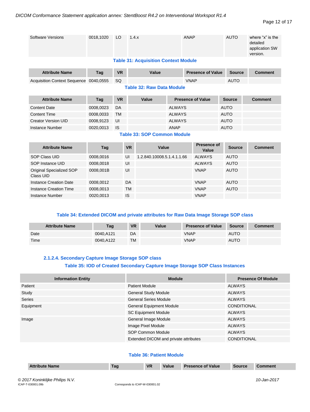#### Page 12 of 17

| <b>Software Versions</b>            | 0018,1020 | LO        | 1.4.x     |                                             |               | <b>ANAP</b> |                          |             | <b>AUTO</b>   | where "x" is the<br>detailed<br>application SW<br>version. |
|-------------------------------------|-----------|-----------|-----------|---------------------------------------------|---------------|-------------|--------------------------|-------------|---------------|------------------------------------------------------------|
|                                     |           |           |           | <b>Table 31: Acquisition Context Module</b> |               |             |                          |             |               |                                                            |
| <b>Attribute Name</b>               | Tag       | <b>VR</b> |           | Value                                       |               |             | <b>Presence of Value</b> |             | <b>Source</b> | <b>Comment</b>                                             |
| <b>Acquisition Context Sequence</b> | 0040.0555 | SQ        |           |                                             |               | <b>VNAP</b> |                          |             | <b>AUTO</b>   |                                                            |
| <b>Table 32: Raw Data Module</b>    |           |           |           |                                             |               |             |                          |             |               |                                                            |
| <b>Attribute Name</b>               | Tag       | <b>VR</b> |           | Value                                       |               |             | <b>Presence of Value</b> |             | <b>Source</b> | <b>Comment</b>                                             |
| <b>Content Date</b>                 | 0008,0023 | DA        |           |                                             | <b>ALWAYS</b> |             |                          | <b>AUTO</b> |               |                                                            |
| <b>Content Time</b>                 | 0008,0033 | <b>TM</b> |           |                                             | <b>ALWAYS</b> |             |                          | <b>AUTO</b> |               |                                                            |
| <b>Creator Version UID</b>          | 0008,9123 | UI        |           |                                             | <b>ALWAYS</b> |             |                          | <b>AUTO</b> |               |                                                            |
| Instance Number                     | 0020,0013 | <b>IS</b> |           |                                             | <b>ANAP</b>   |             |                          | <b>AUTO</b> |               |                                                            |
|                                     |           |           |           | <b>Table 33: SOP Common Module</b>          |               |             |                          |             |               |                                                            |
| <b>Attribute Name</b>               | Tag       |           | <b>VR</b> | Value                                       |               |             | Presence of<br>Value     |             | <b>Source</b> | <b>Comment</b>                                             |
| <b>SOP Class UID</b>                | 0008,0016 |           | UI        | 1.2.840.10008.5.1.4.1.1.66                  |               |             | <b>ALWAYS</b>            |             | <b>AUTO</b>   |                                                            |
| SOP Instance UID                    | 0008,0018 |           | UI        |                                             |               |             | <b>ALWAYS</b>            |             | <b>AUTO</b>   |                                                            |
| Original Specialized SOP            | 0008,001B |           | UI        |                                             |               |             | <b>VNAP</b>              |             | <b>AUTO</b>   |                                                            |

#### **Table 34: Extended DICOM and private attributes for Raw Data Image Storage SOP class** a ma m m

| <b>Attribute Name</b> | Taq       | <b>VR</b> | Value | <b>Presence of Value</b> | <b>Source</b> | <b>Comment</b> |
|-----------------------|-----------|-----------|-------|--------------------------|---------------|----------------|
| Date                  | 0040.A121 | DA        |       | VNAP                     | <b>AUTO</b>   |                |
| Time                  | 0040.A122 | <b>TM</b> |       | VNAP                     | <b>AUTO</b>   |                |

# **2.1.2.4. Secondary Capture Image Storage SOP class Table 35: IOD of Created Secondary Capture Image Storage SOP Class Instances**

Instance Creation Date 0008,0012 DA VNAP AUTO Instance Creation Time 0008,0013 TM VNAP AUTO

Instance Number 0020,0013 IS IS VNAP

<span id="page-11-0"></span>

| <b>Information Entity</b> | <b>Module</b>                         | <b>Presence Of Module</b> |
|---------------------------|---------------------------------------|---------------------------|
| Patient                   | <b>Patient Module</b>                 | ALWAYS                    |
| Study                     | <b>General Study Module</b>           | ALWAYS                    |
| Series                    | <b>General Series Module</b>          | ALWAYS                    |
| Equipment                 | <b>General Equipment Module</b>       | CONDITIONAL               |
|                           | <b>SC Equipment Module</b>            | <b>ALWAYS</b>             |
| Image                     | General Image Module                  | ALWAYS                    |
|                           | Image Pixel Module                    | ALWAYS                    |
|                           | SOP Common Module                     | <b>ALWAYS</b>             |
|                           | Extended DICOM and private attributes | <b>CONDITIONAL</b>        |

# **Table 36: Patient Module**

| <b>Attribute Name</b> | Tag | <b>VR</b> | Value | <b>Presence of Value</b> | <b>Source</b> | ıment |
|-----------------------|-----|-----------|-------|--------------------------|---------------|-------|
|                       |     |           |       |                          |               |       |

Class UID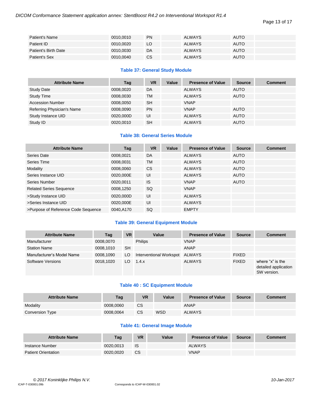Page 13 of 17

| Patient's Name       | 0010,0010 | <b>PN</b> | <b>ALWAYS</b> | <b>AUTO</b> |
|----------------------|-----------|-----------|---------------|-------------|
| Patient ID           | 0010.0020 | LO        | <b>ALWAYS</b> | <b>AUTO</b> |
| Patient's Birth Date | 0010,0030 | DA        | <b>ALWAYS</b> | <b>AUTO</b> |
| Patient's Sex        | 0010,0040 | <b>CS</b> | <b>ALWAYS</b> | <b>AUTO</b> |

# **Table 37: General Study Module**

| <b>Attribute Name</b>      | Tag       | <b>VR</b> | Value | <b>Presence of Value</b> | <b>Source</b> | <b>Comment</b> |
|----------------------------|-----------|-----------|-------|--------------------------|---------------|----------------|
| <b>Study Date</b>          | 0008.0020 | DA        |       | <b>ALWAYS</b>            | <b>AUTO</b>   |                |
| Study Time                 | 0008.0030 | <b>TM</b> |       | <b>ALWAYS</b>            | <b>AUTO</b>   |                |
| <b>Accession Number</b>    | 0008.0050 | <b>SH</b> |       | <b>VNAP</b>              |               |                |
| Referring Physician's Name | 0008,0090 | <b>PN</b> |       | <b>VNAP</b>              | <b>AUTO</b>   |                |
| Study Instance UID         | 0020,000D | UI        |       | <b>ALWAYS</b>            | <b>AUTO</b>   |                |
| Study ID                   | 0020.0010 | <b>SH</b> |       | <b>ALWAYS</b>            | <b>AUTO</b>   |                |

# **Table 38: General Series Module**

| <b>Attribute Name</b>               | Tag       | <b>VR</b> | Value | <b>Presence of Value</b> | <b>Source</b> | <b>Comment</b> |
|-------------------------------------|-----------|-----------|-------|--------------------------|---------------|----------------|
| Series Date                         | 0008,0021 | DA        |       | <b>ALWAYS</b>            | <b>AUTO</b>   |                |
| Series Time                         | 0008,0031 | <b>TM</b> |       | <b>ALWAYS</b>            | <b>AUTO</b>   |                |
| Modality                            | 0008,0060 | CS.       |       | <b>ALWAYS</b>            | <b>AUTO</b>   |                |
| Series Instance UID                 | 0020,000E | UI        |       | <b>ALWAYS</b>            | <b>AUTO</b>   |                |
| Series Number                       | 0020,0011 | <b>IS</b> |       | <b>VNAP</b>              | <b>AUTO</b>   |                |
| <b>Related Series Sequence</b>      | 0008,1250 | SQ        |       | <b>VNAP</b>              |               |                |
| >Study Instance UID                 | 0020,000D | UI        |       | <b>ALWAYS</b>            |               |                |
| >Series Instance UID                | 0020,000E | UI        |       | <b>ALWAYS</b>            |               |                |
| >Purpose of Reference Code Sequence | 0040,A170 | <b>SQ</b> |       | <b>EMPTY</b>             |               |                |

# **Table 39: General Equipment Module**

| <b>Attribute Name</b>     | Tag       | <b>VR</b> | Value                   | <b>Presence of Value</b> | <b>Source</b> | <b>Comment</b>                                          |
|---------------------------|-----------|-----------|-------------------------|--------------------------|---------------|---------------------------------------------------------|
| Manufacturer              | 0008,0070 |           | <b>Philips</b>          | <b>VNAP</b>              |               |                                                         |
| <b>Station Name</b>       | 0008.1010 | <b>SH</b> |                         | <b>ANAP</b>              |               |                                                         |
| Manufacturer's Model Name | 0008,1090 | LO.       | Interventional Workspot | <b>ALWAYS</b>            | <b>FIXED</b>  |                                                         |
| <b>Software Versions</b>  | 0018.1020 | LO.       | 1.4.x                   | <b>ALWAYS</b>            | <b>FIXED</b>  | where "x" is the<br>detailed application<br>SW version. |

# **Table 40 : SC Equipment Module**

| <b>Attribute Name</b> | Tag       | VR | Value | <b>Presence of Value</b> | <b>Source</b> | <b>Comment</b> |
|-----------------------|-----------|----|-------|--------------------------|---------------|----------------|
| Modality              | 0008.0060 | СS |       | ANAP                     |               |                |
| Conversion Type       | 0008,0064 | CS | WSD   | <b>ALWAYS</b>            |               |                |

# **Table 41: General Image Module**

| <b>Attribute Name</b>      | Tag       | <b>VR</b> | Value | <b>Presence of Value</b> | <b>Source</b> | <b>Comment</b> |
|----------------------------|-----------|-----------|-------|--------------------------|---------------|----------------|
| Instance Number            | 0020.0013 | IS        |       | <b>ALWAYS</b>            |               |                |
| <b>Patient Orientation</b> | 0020.0020 | <b>CS</b> |       | <b>VNAP</b>              |               |                |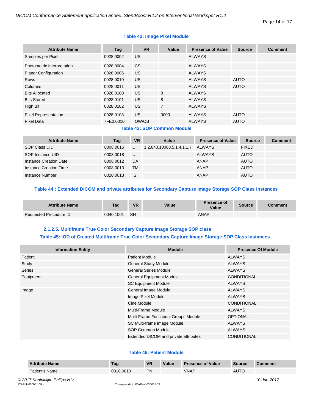# **Table 42: Image Pixel Module**

| <b>Attribute Name</b>       | Tag       | <b>VR</b> | Value          | <b>Presence of Value</b> | <b>Source</b> | <b>Comment</b> |
|-----------------------------|-----------|-----------|----------------|--------------------------|---------------|----------------|
| Samples per Pixel           | 0028,0002 | US.       |                | <b>ALWAYS</b>            |               |                |
| Photometric Interpretation  | 0028,0004 | <b>CS</b> |                | <b>ALWAYS</b>            |               |                |
| <b>Planar Configuration</b> | 0028,0006 | US.       |                | <b>ALWAYS</b>            |               |                |
| <b>Rows</b>                 | 0028,0010 | US.       |                | <b>ALWAYS</b>            | <b>AUTO</b>   |                |
| Columns                     | 0028,0011 | US.       |                | <b>ALWAYS</b>            | <b>AUTO</b>   |                |
| <b>Bits Allocated</b>       | 0028,0100 | US.       | 8              | <b>ALWAYS</b>            |               |                |
| <b>Bits Stored</b>          | 0028,0101 | US.       | 8              | <b>ALWAYS</b>            |               |                |
| High Bit                    | 0028,0102 | US.       | $\overline{7}$ | <b>ALWAYS</b>            |               |                |
| <b>Pixel Representation</b> | 0028,0103 | US.       | 0000           | <b>ALWAYS</b>            | <b>AUTO</b>   |                |
| <b>Pixel Data</b>           | 7FE0,0010 | OW/OB     |                | <b>ALWAYS</b>            | <b>AUTO</b>   |                |
|                             |           | -         |                |                          |               |                |

# **Table 43: SOP Common Module**

| <b>Attribute Name</b>  | Tag       | <b>VR</b> | Value                     | <b>Presence of Value</b> | <b>Source</b> | <b>Comment</b> |
|------------------------|-----------|-----------|---------------------------|--------------------------|---------------|----------------|
| SOP Class UID          | 0008.0016 | UI        | 1.2.840.10008.5.1.4.1.1.7 | ALWAYS                   | <b>FIXED</b>  |                |
| SOP Instance UID       | 0008.0018 | UI        |                           | <b>ALWAYS</b>            | <b>AUTO</b>   |                |
| Instance Creation Date | 0008,0012 | DA        |                           | <b>ANAP</b>              | <b>AUTO</b>   |                |
| Instance Creation Time | 0008.0013 | TM        |                           | ANAP                     | <b>AUTO</b>   |                |
| Instance Number        | 0020.0013 | <b>IS</b> |                           | <b>ANAP</b>              | <b>AUTO</b>   |                |

# **Table 44 : Extended DICOM and private attributes for Secondary Capture Image Storage SOP Class Instances**

| <b>Attribute Name</b>  | <b>Tag</b> | <b>VR</b> | Value | <b>Presence of</b><br>Value | <b>Source</b> | Comment |
|------------------------|------------|-----------|-------|-----------------------------|---------------|---------|
| Requested Procedure ID | 0040,1001  | - SH      |       | ANAP                        |               |         |

# **2.1.2.5. Multiframe True Color Secondary Capture Image Storage SOP class Table 45: IOD of Created Multiframe True Color Secondary Capture Image Storage SOP Class Instances**

<span id="page-13-0"></span>

| <b>Information Entity</b> | <b>Module</b>                         | <b>Presence Of Module</b> |
|---------------------------|---------------------------------------|---------------------------|
| Patient                   | <b>Patient Module</b>                 | ALWAYS                    |
| Study                     | <b>General Study Module</b>           | <b>ALWAYS</b>             |
| <b>Series</b>             | <b>General Series Module</b>          | <b>ALWAYS</b>             |
| Equipment                 | <b>General Equipment Module</b>       | <b>CONDITIONAL</b>        |
|                           | <b>SC Equipment Module</b>            | <b>ALWAYS</b>             |
| Image                     | General Image Module                  | <b>ALWAYS</b>             |
|                           | Image Pixel Module                    | <b>ALWAYS</b>             |
|                           | Cine Module                           | <b>CONDITIONAL</b>        |
|                           | Multi-Frame Module                    | <b>ALWAYS</b>             |
|                           | Multi-Frame Functional Groups Module  | <b>OPTIONAL</b>           |
|                           | SC Multi-frame Image Module           | <b>ALWAYS</b>             |
|                           | SOP Common Module                     | <b>ALWAYS</b>             |
|                           | Extended DICOM and private attributes | CONDITIONAL               |

# **Table 46: Patient Module**

| <b>Attribute Name</b>                                | Tag                             | <b>VR</b> | Value | <b>Presence of Value</b> | Source      | <b>Comment</b> |
|------------------------------------------------------|---------------------------------|-----------|-------|--------------------------|-------------|----------------|
| Patient's Name                                       | 0010.0010                       | <b>PN</b> |       | <b>VNAP</b>              | <b>AUTO</b> |                |
| © 2017 Koninklijke Philips N.V.<br>ICAP-T-030001.09b | Corresponds to ICAP-W-030001.02 |           |       |                          |             | 10-Jan-2017    |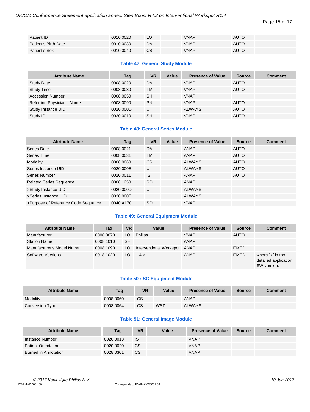Page 15 of 17

| Patient ID           | 0010,0020 | LO        | <b>VNAP</b> | <b>AUTO</b> |
|----------------------|-----------|-----------|-------------|-------------|
| Patient's Birth Date | 0010.0030 | DA        | <b>VNAP</b> | <b>AUTO</b> |
| Patient's Sex        | 0010,0040 | <b>CS</b> | <b>VNAP</b> | <b>AUTO</b> |

# **Table 47: General Study Module**

| <b>Attribute Name</b>      | Tag       | <b>VR</b> | Value | <b>Presence of Value</b> | <b>Source</b> | <b>Comment</b> |
|----------------------------|-----------|-----------|-------|--------------------------|---------------|----------------|
| <b>Study Date</b>          | 0008,0020 | DA        |       | <b>VNAP</b>              | <b>AUTO</b>   |                |
| <b>Study Time</b>          | 0008,0030 | <b>TM</b> |       | <b>VNAP</b>              | <b>AUTO</b>   |                |
| <b>Accession Number</b>    | 0008,0050 | <b>SH</b> |       | <b>VNAP</b>              |               |                |
| Referring Physician's Name | 0008,0090 | <b>PN</b> |       | <b>VNAP</b>              | <b>AUTO</b>   |                |
| Study Instance UID         | 0020,000D | UI        |       | <b>ALWAYS</b>            | <b>AUTO</b>   |                |
| Study ID                   | 0020,0010 | <b>SH</b> |       | <b>VNAP</b>              | <b>AUTO</b>   |                |

# **Table 48: General Series Module**

| <b>Attribute Name</b>               | Tag       | <b>VR</b> | Value | <b>Presence of Value</b> | <b>Source</b> | <b>Comment</b> |
|-------------------------------------|-----------|-----------|-------|--------------------------|---------------|----------------|
| Series Date                         | 0008,0021 | DA        |       | ANAP                     | <b>AUTO</b>   |                |
| Series Time                         | 0008,0031 | TM        |       | ANAP                     | <b>AUTO</b>   |                |
| Modality                            | 0008,0060 | CS.       |       | <b>ALWAYS</b>            | <b>AUTO</b>   |                |
| Series Instance UID                 | 0020,000E | UI        |       | <b>ALWAYS</b>            | <b>AUTO</b>   |                |
| Series Number                       | 0020.0011 | <b>IS</b> |       | ANAP                     | <b>AUTO</b>   |                |
| <b>Related Series Sequence</b>      | 0008,1250 | SQ        |       | ANAP                     |               |                |
| >Study Instance UID                 | 0020,000D | UI        |       | <b>ALWAYS</b>            |               |                |
| >Series Instance UID                | 0020,000E | UI        |       | <b>ALWAYS</b>            |               |                |
| >Purpose of Reference Code Sequence | 0040.A170 | SQ.       |       | <b>VNAP</b>              |               |                |

# **Table 49: General Equipment Module**

| <b>Attribute Name</b>     | Tag       | <b>VR</b> | Value                   | <b>Presence of Value</b> | <b>Source</b> | <b>Comment</b>                                          |
|---------------------------|-----------|-----------|-------------------------|--------------------------|---------------|---------------------------------------------------------|
| Manufacturer              | 0008,0070 | LO        | <b>Philips</b>          | <b>VNAP</b>              | <b>AUTO</b>   |                                                         |
| <b>Station Name</b>       | 0008.1010 | <b>SH</b> |                         | ANAP                     |               |                                                         |
| Manufacturer's Model Name | 0008.1090 | LO.       | Interventional Workspot | ANAP                     | <b>FIXED</b>  |                                                         |
| <b>Software Versions</b>  | 0018.1020 | LO.       | 1.4.x                   | <b>ANAP</b>              | <b>FIXED</b>  | where "x" is the<br>detailed application<br>SW version. |

# **Table 50 : SC Equipment Module**

| <b>Attribute Name</b> | Tag       | VR        | Value      | <b>Presence of Value</b> | <b>Source</b> | <b>Comment</b> |
|-----------------------|-----------|-----------|------------|--------------------------|---------------|----------------|
| Modality              | 0008.0060 | СS        |            | ANAP                     |               |                |
| Conversion Type       | 0008.0064 | <b>CS</b> | <b>WSD</b> | <b>ALWAYS</b>            |               |                |

# **Table 51: General Image Module**

| <b>Attribute Name</b>      | Tag       | <b>VR</b>     | Value | <b>Presence of Value</b> | <b>Source</b> | <b>Comment</b> |
|----------------------------|-----------|---------------|-------|--------------------------|---------------|----------------|
| Instance Number            | 0020.0013 | IS            |       | <b>VNAP</b>              |               |                |
| <b>Patient Orientation</b> | 0020.0020 | CS            |       | <b>VNAP</b>              |               |                |
| Burned in Annotation       | 0028.0301 | <sub>CS</sub> |       | ANAP                     |               |                |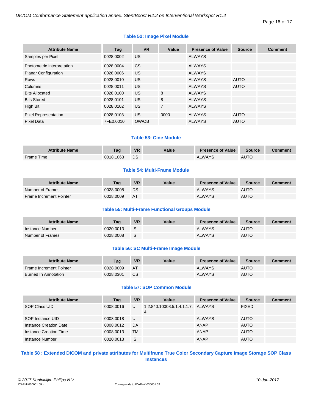# **Table 52: Image Pixel Module**

| <b>Attribute Name</b>       | Tag       | <b>VR</b> | Value          | <b>Presence of Value</b> | <b>Source</b> | <b>Comment</b> |
|-----------------------------|-----------|-----------|----------------|--------------------------|---------------|----------------|
| Samples per Pixel           | 0028,0002 | US.       |                | <b>ALWAYS</b>            |               |                |
| Photometric Interpretation  | 0028,0004 | CS.       |                | <b>ALWAYS</b>            |               |                |
| <b>Planar Configuration</b> | 0028,0006 | US.       |                | <b>ALWAYS</b>            |               |                |
| <b>Rows</b>                 | 0028,0010 | US.       |                | <b>ALWAYS</b>            | <b>AUTO</b>   |                |
| Columns                     | 0028,0011 | US.       |                | <b>ALWAYS</b>            | <b>AUTO</b>   |                |
| <b>Bits Allocated</b>       | 0028,0100 | US.       | 8              | <b>ALWAYS</b>            |               |                |
| <b>Bits Stored</b>          | 0028,0101 | US.       | 8              | <b>ALWAYS</b>            |               |                |
| High Bit                    | 0028,0102 | US.       | $\overline{7}$ | <b>ALWAYS</b>            |               |                |
| <b>Pixel Representation</b> | 0028,0103 | US.       | 0000           | <b>ALWAYS</b>            | <b>AUTO</b>   |                |
| <b>Pixel Data</b>           | 7FE0,0010 | OW/OB     |                | <b>ALWAYS</b>            | <b>AUTO</b>   |                |

# **Table 53: Cine Module**

| <b>Attribute Name</b> | Tag       | <b>VR</b> | Value | <b>Presence of Value</b> | <b>Source</b> | Comment |
|-----------------------|-----------|-----------|-------|--------------------------|---------------|---------|
| Frame Time            | 0018,1063 | DS        |       | <b>ALWAYS</b>            | <b>AUTC</b>   |         |

# **Table 54: Multi-Frame Module**

| <b>Attribute Name</b>          | Taq       | <b>VR</b> | Value | <b>Presence of Value</b> | <b>Source</b> | <b>Comment</b> |
|--------------------------------|-----------|-----------|-------|--------------------------|---------------|----------------|
| Number of Frames               | 0028.0008 | DS        |       | <b>ALWAYS</b>            | <b>AUTO</b>   |                |
| <b>Frame Increment Pointer</b> | 0028.0009 | <b>AT</b> |       | <b>ALWAYS</b>            | <b>AUTO</b>   |                |

# **Table 55: Multi-Frame Functional Groups Module**

| <b>Attribute Name</b> | Taq       | <b>VR</b> | Value | <b>Presence of Value</b> | <b>Source</b> | <b>Comment</b> |
|-----------------------|-----------|-----------|-------|--------------------------|---------------|----------------|
| Instance Number       | 0020.0013 | - IS      |       | <b>ALWAYS</b>            | <b>AUTO</b>   |                |
| Number of Frames      | 0028.0008 | - IS      |       | <b>ALWAYS</b>            | <b>AUTO</b>   |                |

# **Table 56: SC Multi-Frame Image Module**

| <b>Attribute Name</b>          | Taq       | <b>VR</b> | Value | <b>Presence of Value</b> | <b>Source</b> | Comment |
|--------------------------------|-----------|-----------|-------|--------------------------|---------------|---------|
| <b>Frame Increment Pointer</b> | 0028.0009 | <b>AT</b> |       | <b>ALWAYS</b>            | <b>AUTO</b>   |         |
| Burned In Annotation           | 0028.0301 | <b>CS</b> |       | <b>ALWAYS</b>            | <b>AUTO</b>   |         |

# **Table 57: SOP Common Module**

| <b>Attribute Name</b>  | Tag       | <b>VR</b> | Value                                               | <b>Presence of Value</b> | <b>Source</b> | <b>Comment</b> |
|------------------------|-----------|-----------|-----------------------------------------------------|--------------------------|---------------|----------------|
| SOP Class UID          | 0008.0016 | UI        | 1.2.840.10008.5.1.4.1.1.7. ALWAYS<br>$\overline{4}$ |                          | <b>FIXED</b>  |                |
| SOP Instance UID       | 0008.0018 | UI        |                                                     | <b>ALWAYS</b>            | <b>AUTO</b>   |                |
| Instance Creation Date | 0008.0012 | DA        |                                                     | <b>ANAP</b>              | <b>AUTO</b>   |                |
| Instance Creation Time | 0008.0013 | TM        |                                                     | <b>ANAP</b>              | <b>AUTO</b>   |                |
| Instance Number        | 0020.0013 | <b>IS</b> |                                                     | <b>ANAP</b>              | <b>AUTO</b>   |                |

# **Table 58 : Extended DICOM and private attributes for Multiframe True Color Secondary Capture Image Storage SOP Class Instances**